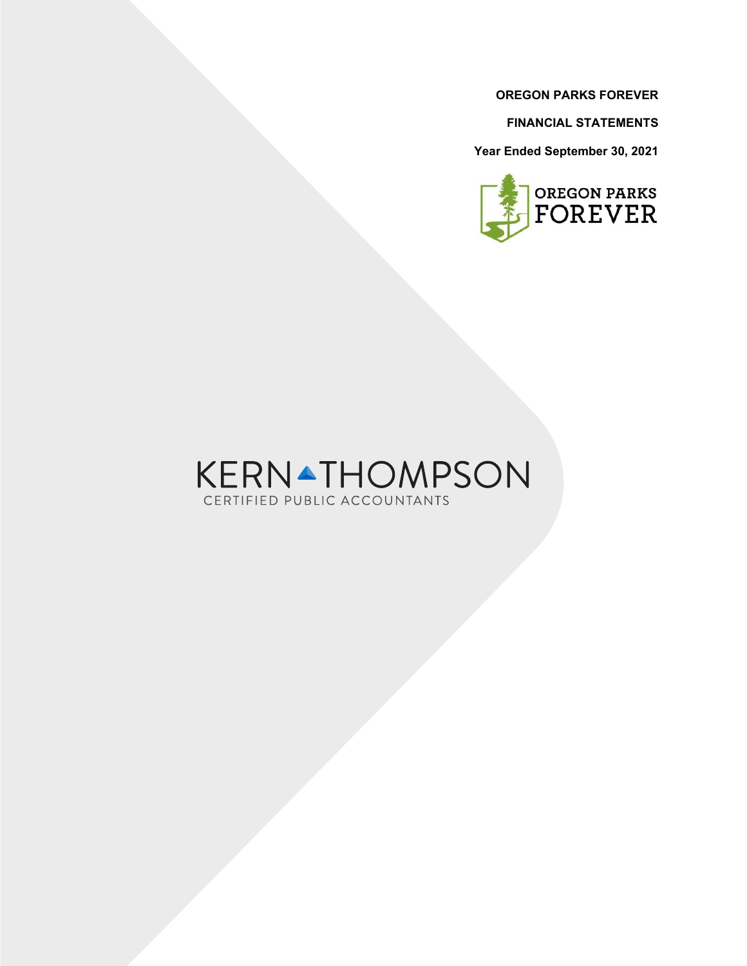**FINANCIAL STATEMENTS**

**Year Ended September 30, 2021**



# KERNATHOMPSON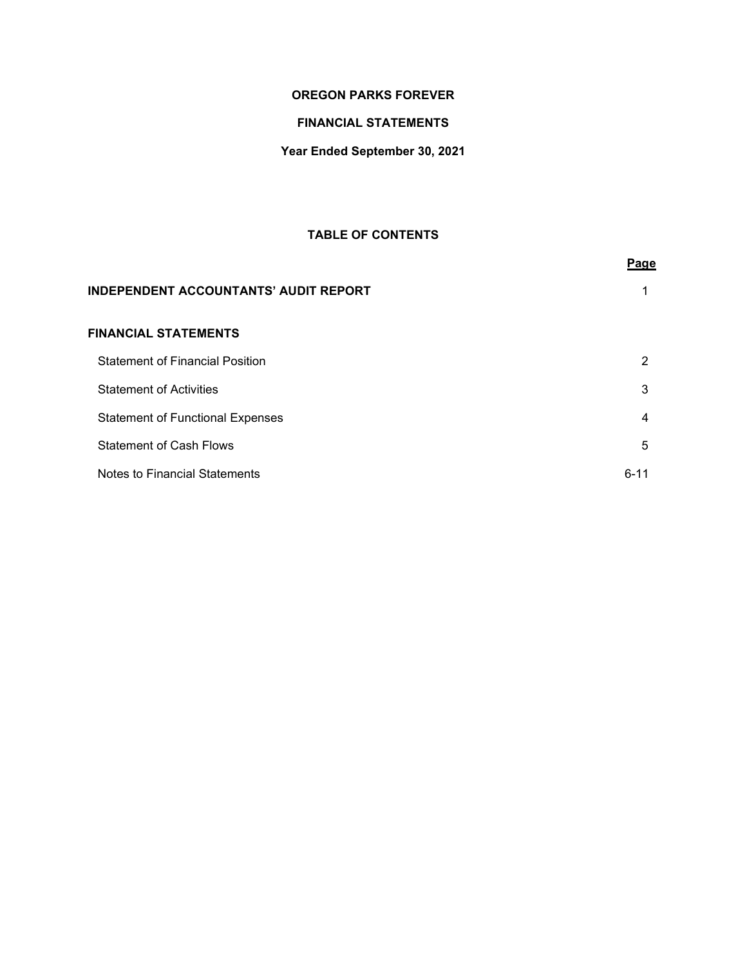# **FINANCIAL STATEMENTS**

# **Year Ended September 30, 2021**

# **TABLE OF CONTENTS**

|                                              | Page     |
|----------------------------------------------|----------|
| <b>INDEPENDENT ACCOUNTANTS' AUDIT REPORT</b> |          |
| <b>FINANCIAL STATEMENTS</b>                  |          |
| <b>Statement of Financial Position</b>       | 2        |
| <b>Statement of Activities</b>               | 3        |
| <b>Statement of Functional Expenses</b>      | 4        |
| <b>Statement of Cash Flows</b>               | 5        |
| Notes to Financial Statements                | $6 - 11$ |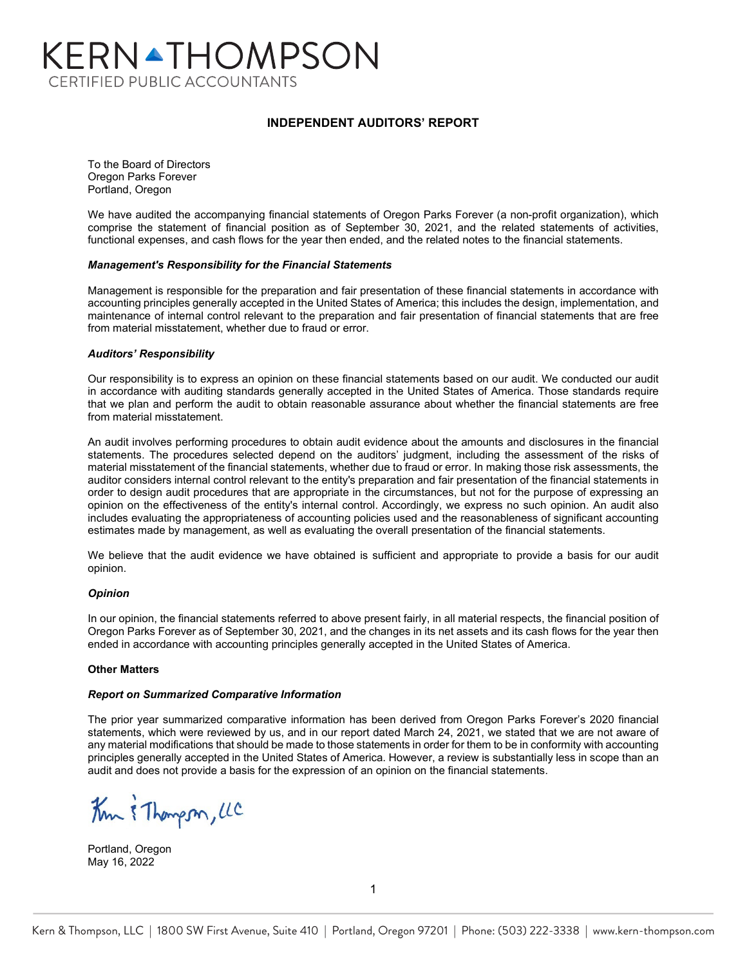# KERNATHOMPSON **CERTIFIED PUBLIC ACCOUNTANTS**

#### **INDEPENDENT AUDITORS' REPORT**

To the Board of Directors Oregon Parks Forever Portland, Oregon

We have audited the accompanying financial statements of Oregon Parks Forever (a non-profit organization), which comprise the statement of financial position as of September 30, 2021, and the related statements of activities, functional expenses, and cash flows for the year then ended, and the related notes to the financial statements.

#### *Management's Responsibility for the Financial Statements*

Management is responsible for the preparation and fair presentation of these financial statements in accordance with accounting principles generally accepted in the United States of America; this includes the design, implementation, and maintenance of internal control relevant to the preparation and fair presentation of financial statements that are free from material misstatement, whether due to fraud or error.

#### *Auditors' Responsibility*

Our responsibility is to express an opinion on these financial statements based on our audit. We conducted our audit in accordance with auditing standards generally accepted in the United States of America. Those standards require that we plan and perform the audit to obtain reasonable assurance about whether the financial statements are free from material misstatement.

An audit involves performing procedures to obtain audit evidence about the amounts and disclosures in the financial statements. The procedures selected depend on the auditors' judgment, including the assessment of the risks of material misstatement of the financial statements, whether due to fraud or error. In making those risk assessments, the auditor considers internal control relevant to the entity's preparation and fair presentation of the financial statements in order to design audit procedures that are appropriate in the circumstances, but not for the purpose of expressing an opinion on the effectiveness of the entity's internal control. Accordingly, we express no such opinion. An audit also includes evaluating the appropriateness of accounting policies used and the reasonableness of significant accounting estimates made by management, as well as evaluating the overall presentation of the financial statements.

We believe that the audit evidence we have obtained is sufficient and appropriate to provide a basis for our audit opinion.

#### *Opinion*

In our opinion, the financial statements referred to above present fairly, in all material respects, the financial position of Oregon Parks Forever as of September 30, 2021, and the changes in its net assets and its cash flows for the year then ended in accordance with accounting principles generally accepted in the United States of America.

#### **Other Matters**

#### *Report on Summarized Comparative Information*

The prior year summarized comparative information has been derived from Oregon Parks Forever's 2020 financial statements, which were reviewed by us, and in our report dated March 24, 2021, we stated that we are not aware of any material modifications that should be made to those statements in order for them to be in conformity with accounting principles generally accepted in the United States of America. However, a review is substantially less in scope than an audit and does not provide a basis for the expression of an opinion on the financial statements.

Km & Thompson, LC

Portland, Oregon May 16, 2022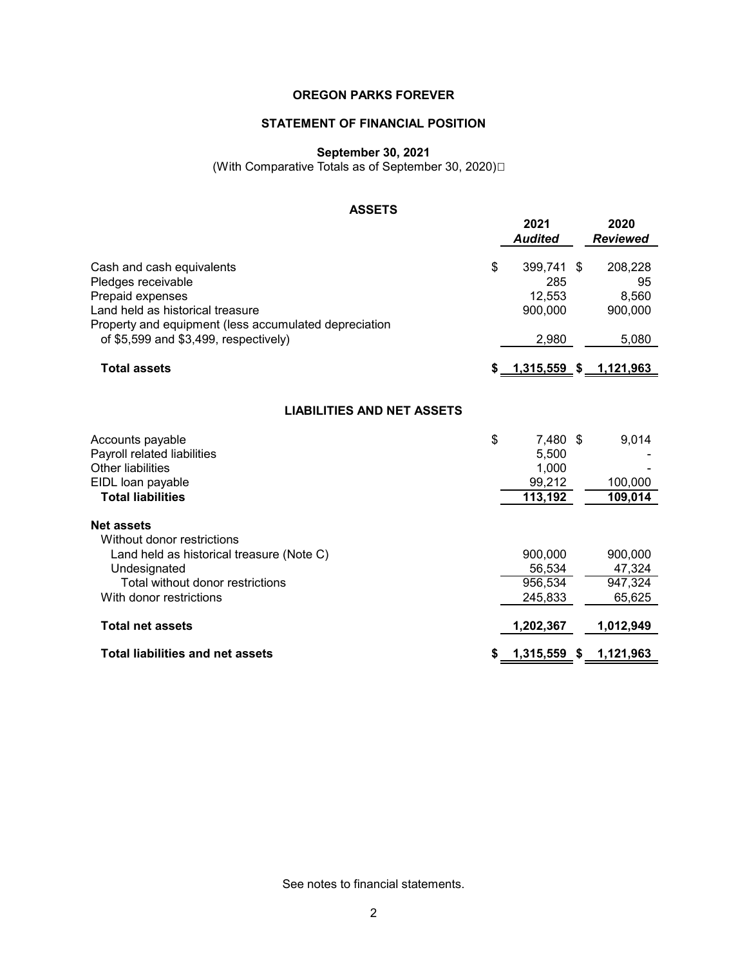# **STATEMENT OF FINANCIAL POSITION**

## **September 30, 2021**

(With Comparative Totals as of September 30, 2020) 

# **ASSETS**

|                                                       | 2021<br><b>Audited</b>          | 2020<br><b>Reviewed</b> |
|-------------------------------------------------------|---------------------------------|-------------------------|
| Cash and cash equivalents                             | \$<br>399,741                   | \$<br>208,228           |
| Pledges receivable                                    | 285                             | 95                      |
| Prepaid expenses                                      | 12,553                          | 8,560                   |
| Land held as historical treasure                      | 900,000                         | 900,000                 |
| Property and equipment (less accumulated depreciation |                                 |                         |
| of $$5,599$ and $$3,499$ , respectively)              | 2,980                           | 5,080                   |
| <b>Total assets</b>                                   | \$ <u>1,315,559</u> \$1,121,963 |                         |
|                                                       |                                 |                         |
|                                                       |                                 |                         |
| <b>LIABILITIES AND NET ASSETS</b>                     |                                 |                         |
| Accounts payable                                      | \$<br>7,480 \$                  | 9,014                   |
| Payroll related liabilities                           | 5,500                           |                         |
| <b>Other liabilities</b>                              | 1,000                           |                         |
| EIDL loan payable                                     | 99,212                          | 100,000                 |
| <b>Total liabilities</b>                              | 113,192                         | 109,014                 |
| <b>Net assets</b>                                     |                                 |                         |
| Without donor restrictions                            |                                 |                         |
| Land held as historical treasure (Note C)             | 900,000                         | 900,000                 |
| Undesignated                                          | 56,534                          | 47,324                  |
| Total without donor restrictions                      | 956,534                         | 947,324                 |
| With donor restrictions                               | 245,833                         | 65,625                  |
| <b>Total net assets</b>                               | 1,202,367                       | 1,012,949               |
|                                                       |                                 |                         |
| <b>Total liabilities and net assets</b>               | 1,315,559 \$                    | 1,121,963               |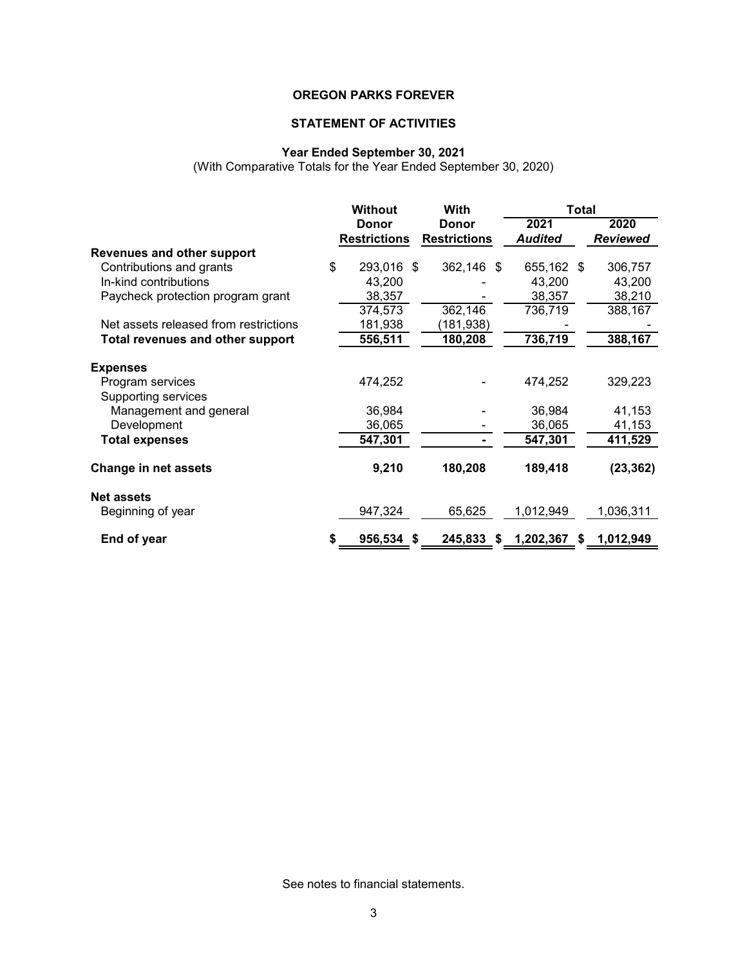# **STATEMENT OF ACTIVITIES**

#### **Year Ended September 30, 2021**

(With Comparative Totals for the Year Ended September 30, 2020)

|                                       | <b>Without</b>      | <b>With</b>         |                | <b>Total</b> |                 |
|---------------------------------------|---------------------|---------------------|----------------|--------------|-----------------|
|                                       | <b>Donor</b>        | <b>Donor</b>        | 2021           |              | 2020            |
|                                       | <b>Restrictions</b> | <b>Restrictions</b> | <b>Audited</b> |              | <b>Reviewed</b> |
| <b>Revenues and other support</b>     |                     |                     |                |              |                 |
| Contributions and grants              | \$<br>293,016 \$    | 362,146 \$          | 655,162 \$     |              | 306,757         |
| In-kind contributions                 | 43,200              |                     | 43,200         |              | 43,200          |
| Paycheck protection program grant     | 38,357              |                     | 38,357         |              | 38,210          |
|                                       | 374,573             | 362,146             | 736,719        |              | 388,167         |
| Net assets released from restrictions | 181,938             | (181,938)           |                |              |                 |
| Total revenues and other support      | 556,511             | 180,208             | 736,719        |              | 388,167         |
| <b>Expenses</b>                       |                     |                     |                |              |                 |
| Program services                      | 474,252             |                     | 474,252        |              | 329,223         |
| Supporting services                   |                     |                     |                |              |                 |
| Management and general                | 36,984              |                     | 36,984         |              | 41,153          |
| Development                           | 36,065              |                     | 36,065         |              | 41,153          |
| <b>Total expenses</b>                 | 547,301             |                     | 547,301        |              | 411,529         |
| Change in net assets                  | 9,210               | 180,208             | 189,418        |              | (23, 362)       |
| <b>Net assets</b>                     |                     |                     |                |              |                 |
| Beginning of year                     | 947,324             | 65,625              | 1,012,949      |              | 1,036,311       |
| End of year                           | \$<br>956,534 \$    | 245,833 \$          | 1,202,367      | S.           | 1,012,949       |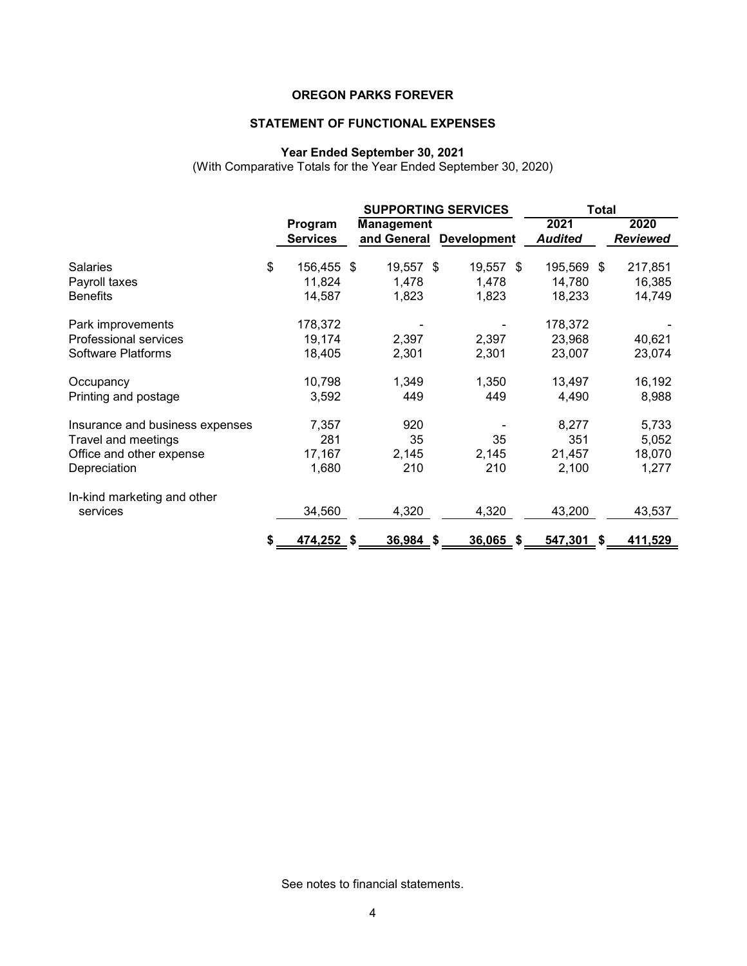# **STATEMENT OF FUNCTIONAL EXPENSES**

#### **Year Ended September 30, 2021**

(With Comparative Totals for the Year Ended September 30, 2020)

|                                 |                            | <b>SUPPORTING SERVICES</b>       |   | <b>Total</b>       |                        |    |                         |
|---------------------------------|----------------------------|----------------------------------|---|--------------------|------------------------|----|-------------------------|
|                                 | Program<br><b>Services</b> | <b>Management</b><br>and General |   | <b>Development</b> | 2021<br><b>Audited</b> |    | 2020<br><b>Reviewed</b> |
| <b>Salaries</b>                 | \$<br>156,455 \$           | 19,557 \$                        |   | 19,557<br>\$       | 195,569                | \$ | 217,851                 |
| Payroll taxes                   | 11,824                     | 1,478                            |   | 1,478              | 14,780                 |    | 16,385                  |
| <b>Benefits</b>                 | 14,587                     | 1,823                            |   | 1,823              | 18,233                 |    | 14,749                  |
| Park improvements               | 178,372                    |                                  |   |                    | 178,372                |    |                         |
| Professional services           | 19,174                     | 2,397                            |   | 2,397              | 23,968                 |    | 40,621                  |
| Software Platforms              | 18,405                     | 2,301                            |   | 2,301              | 23,007                 |    | 23,074                  |
| Occupancy                       | 10,798                     | 1,349                            |   | 1,350              | 13,497                 |    | 16,192                  |
| Printing and postage            | 3,592                      | 449                              |   | 449                | 4,490                  |    | 8,988                   |
| Insurance and business expenses | 7,357                      | 920                              |   |                    | 8,277                  |    | 5,733                   |
| Travel and meetings             | 281                        | 35                               |   | 35                 | 351                    |    | 5,052                   |
| Office and other expense        | 17,167                     | 2,145                            |   | 2,145              | 21,457                 |    | 18,070                  |
| Depreciation                    | 1,680                      | 210                              |   | 210                | 2,100                  |    | 1,277                   |
| In-kind marketing and other     |                            |                                  |   |                    |                        |    |                         |
| services                        | 34,560                     | 4,320                            |   | 4,320              | 43,200                 |    | 43,537                  |
|                                 | \$<br>474,252 \$           | 36,984                           | S | 36,065<br>-S       | 547,301                | S. | 411,529                 |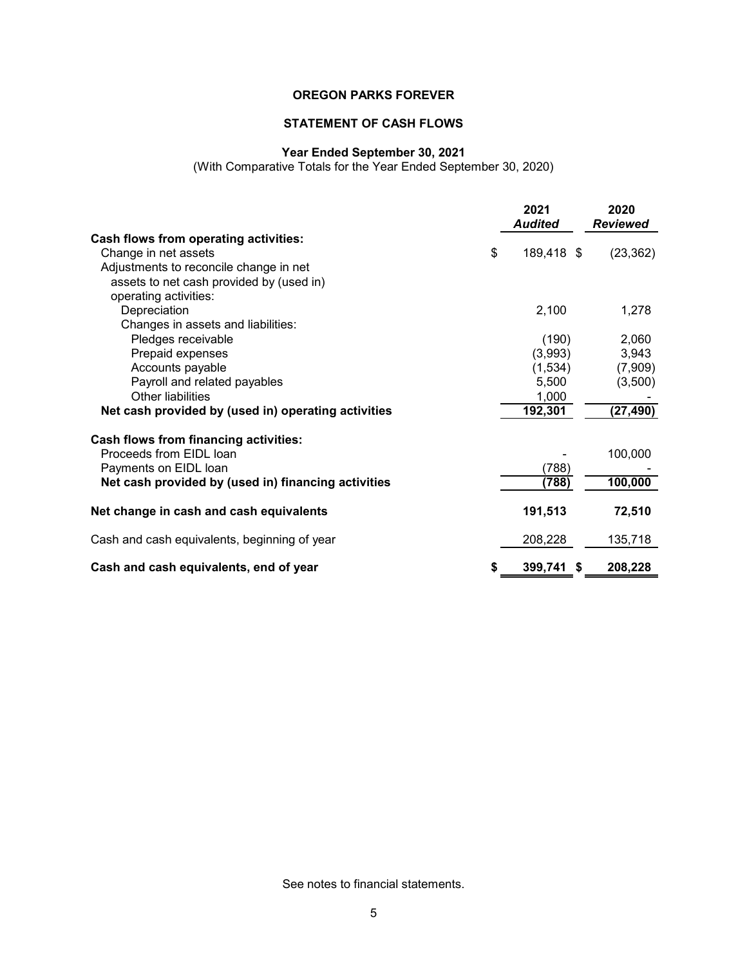# **STATEMENT OF CASH FLOWS**

#### **Year Ended September 30, 2021**

(With Comparative Totals for the Year Ended September 30, 2020)

|                                                     | 2021<br><b>Audited</b> | 2020<br><b>Reviewed</b> |
|-----------------------------------------------------|------------------------|-------------------------|
| <b>Cash flows from operating activities:</b>        |                        |                         |
| Change in net assets                                | \$<br>189,418 \$       | (23, 362)               |
| Adjustments to reconcile change in net              |                        |                         |
| assets to net cash provided by (used in)            |                        |                         |
| operating activities:                               |                        |                         |
| Depreciation                                        | 2,100                  | 1,278                   |
| Changes in assets and liabilities:                  |                        |                         |
| Pledges receivable                                  | (190)                  | 2,060                   |
| Prepaid expenses                                    | (3,993)                | 3,943                   |
| Accounts payable                                    | (1,534)                | (7,909)                 |
| Payroll and related payables                        | 5,500                  | (3,500)                 |
| <b>Other liabilities</b>                            | 1,000                  |                         |
| Net cash provided by (used in) operating activities | 192,301                | (27, 490)               |
| Cash flows from financing activities:               |                        |                         |
| Proceeds from EIDL loan                             |                        | 100,000                 |
| Payments on EIDL loan                               | (788)                  |                         |
| Net cash provided by (used in) financing activities | (788)                  | 100,000                 |
| Net change in cash and cash equivalents             | 191,513                | 72,510                  |
| Cash and cash equivalents, beginning of year        | 208,228                | 135,718                 |
| Cash and cash equivalents, end of year              | 399,741<br>- \$        | 208,228                 |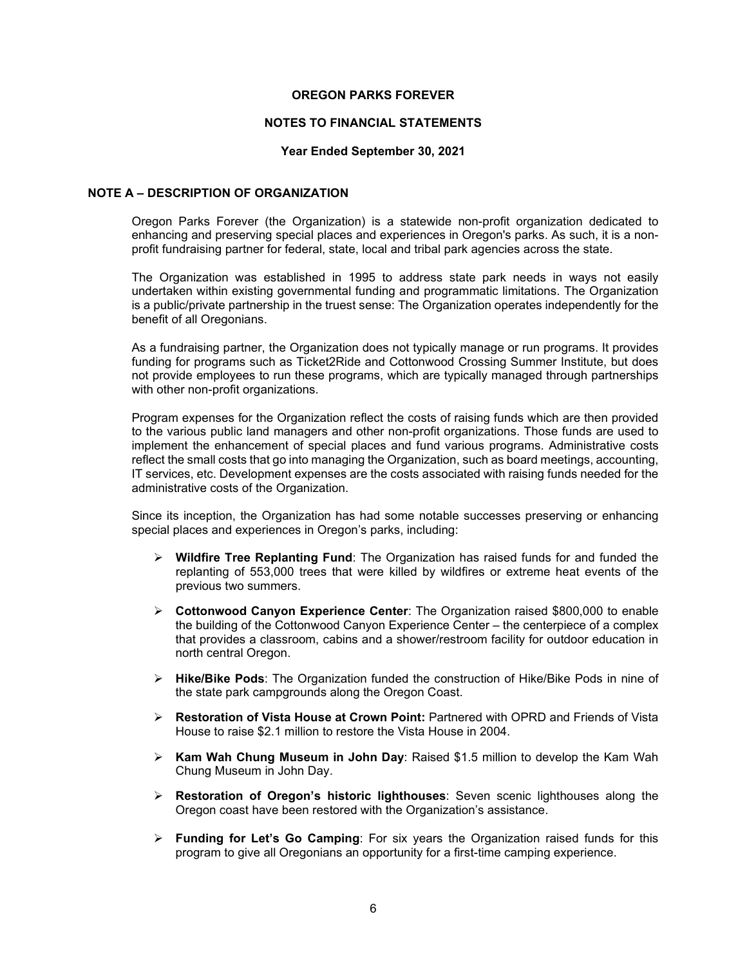#### **NOTES TO FINANCIAL STATEMENTS**

#### **Year Ended September 30, 2021**

#### **NOTE A – DESCRIPTION OF ORGANIZATION**

Oregon Parks Forever (the Organization) is a statewide non-profit organization dedicated to enhancing and preserving special places and experiences in Oregon's parks. As such, it is a nonprofit fundraising partner for federal, state, local and tribal park agencies across the state.

The Organization was established in 1995 to address state park needs in ways not easily undertaken within existing governmental funding and programmatic limitations. The Organization is a public/private partnership in the truest sense: The Organization operates independently for the benefit of all Oregonians.

As a fundraising partner, the Organization does not typically manage or run programs. It provides funding for programs such as Ticket2Ride and Cottonwood Crossing Summer Institute, but does not provide employees to run these programs, which are typically managed through partnerships with other non-profit organizations.

Program expenses for the Organization reflect the costs of raising funds which are then provided to the various public land managers and other non-profit organizations. Those funds are used to implement the enhancement of special places and fund various programs. Administrative costs reflect the small costs that go into managing the Organization, such as board meetings, accounting, IT services, etc. Development expenses are the costs associated with raising funds needed for the administrative costs of the Organization.

Since its inception, the Organization has had some notable successes preserving or enhancing special places and experiences in Oregon's parks, including:

- **Wildfire Tree Replanting Fund**: The Organization has raised funds for and funded the replanting of 553,000 trees that were killed by wildfires or extreme heat events of the previous two summers.
- **Cottonwood Canyon Experience Center**: The Organization raised \$800,000 to enable the building of the Cottonwood Canyon Experience Center – the centerpiece of a complex that provides a classroom, cabins and a shower/restroom facility for outdoor education in north central Oregon.
- **Hike/Bike Pods**: The Organization funded the construction of Hike/Bike Pods in nine of the state park campgrounds along the Oregon Coast.
- **Restoration of Vista House at Crown Point:** Partnered with OPRD and Friends of Vista House to raise \$2.1 million to restore the Vista House in 2004.
- **Kam Wah Chung Museum in John Day**: Raised \$1.5 million to develop the Kam Wah Chung Museum in John Day.
- **Restoration of Oregon's historic lighthouses**: Seven scenic lighthouses along the Oregon coast have been restored with the Organization's assistance.
- **Funding for Let's Go Camping**: For six years the Organization raised funds for this program to give all Oregonians an opportunity for a first-time camping experience.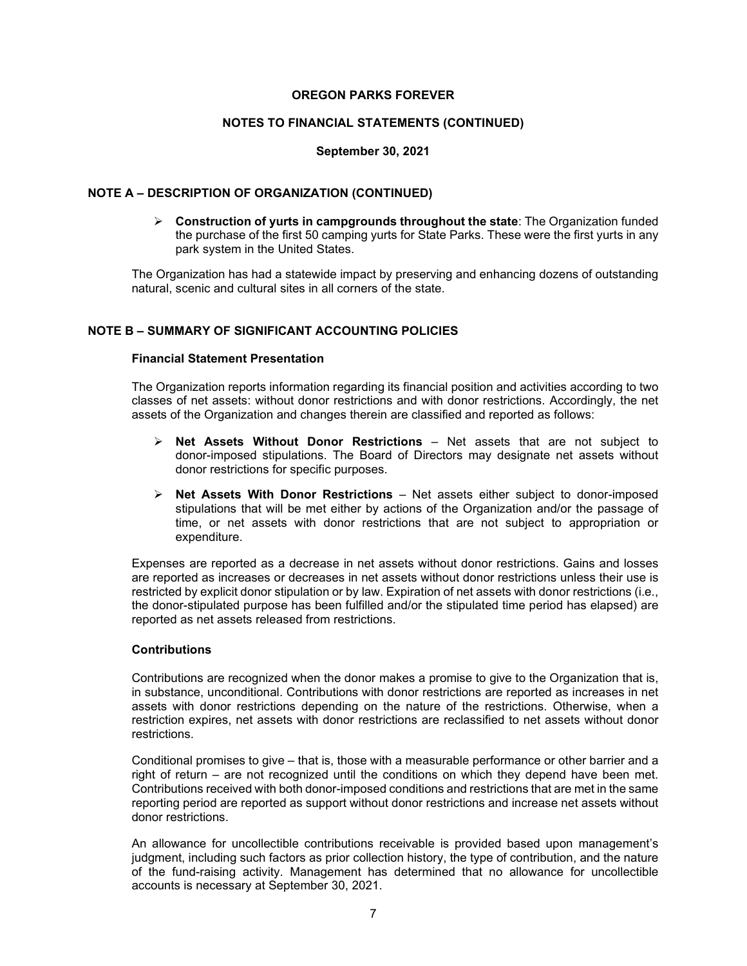#### **NOTES TO FINANCIAL STATEMENTS (CONTINUED)**

#### **September 30, 2021**

#### **NOTE A – DESCRIPTION OF ORGANIZATION (CONTINUED)**

 **Construction of yurts in campgrounds throughout the state**: The Organization funded the purchase of the first 50 camping yurts for State Parks. These were the first yurts in any park system in the United States.

The Organization has had a statewide impact by preserving and enhancing dozens of outstanding natural, scenic and cultural sites in all corners of the state.

#### **NOTE B – SUMMARY OF SIGNIFICANT ACCOUNTING POLICIES**

#### **Financial Statement Presentation**

The Organization reports information regarding its financial position and activities according to two classes of net assets: without donor restrictions and with donor restrictions. Accordingly, the net assets of the Organization and changes therein are classified and reported as follows:

- **Net Assets Without Donor Restrictions**  Net assets that are not subject to donor-imposed stipulations. The Board of Directors may designate net assets without donor restrictions for specific purposes.
- **Net Assets With Donor Restrictions** Net assets either subject to donor-imposed stipulations that will be met either by actions of the Organization and/or the passage of time, or net assets with donor restrictions that are not subject to appropriation or expenditure.

Expenses are reported as a decrease in net assets without donor restrictions. Gains and losses are reported as increases or decreases in net assets without donor restrictions unless their use is restricted by explicit donor stipulation or by law. Expiration of net assets with donor restrictions (i.e., the donor-stipulated purpose has been fulfilled and/or the stipulated time period has elapsed) are reported as net assets released from restrictions.

#### **Contributions**

Contributions are recognized when the donor makes a promise to give to the Organization that is, in substance, unconditional. Contributions with donor restrictions are reported as increases in net assets with donor restrictions depending on the nature of the restrictions. Otherwise, when a restriction expires, net assets with donor restrictions are reclassified to net assets without donor restrictions.

Conditional promises to give – that is, those with a measurable performance or other barrier and a right of return – are not recognized until the conditions on which they depend have been met. Contributions received with both donor-imposed conditions and restrictions that are met in the same reporting period are reported as support without donor restrictions and increase net assets without donor restrictions.

An allowance for uncollectible contributions receivable is provided based upon management's judgment, including such factors as prior collection history, the type of contribution, and the nature of the fund-raising activity. Management has determined that no allowance for uncollectible accounts is necessary at September 30, 2021.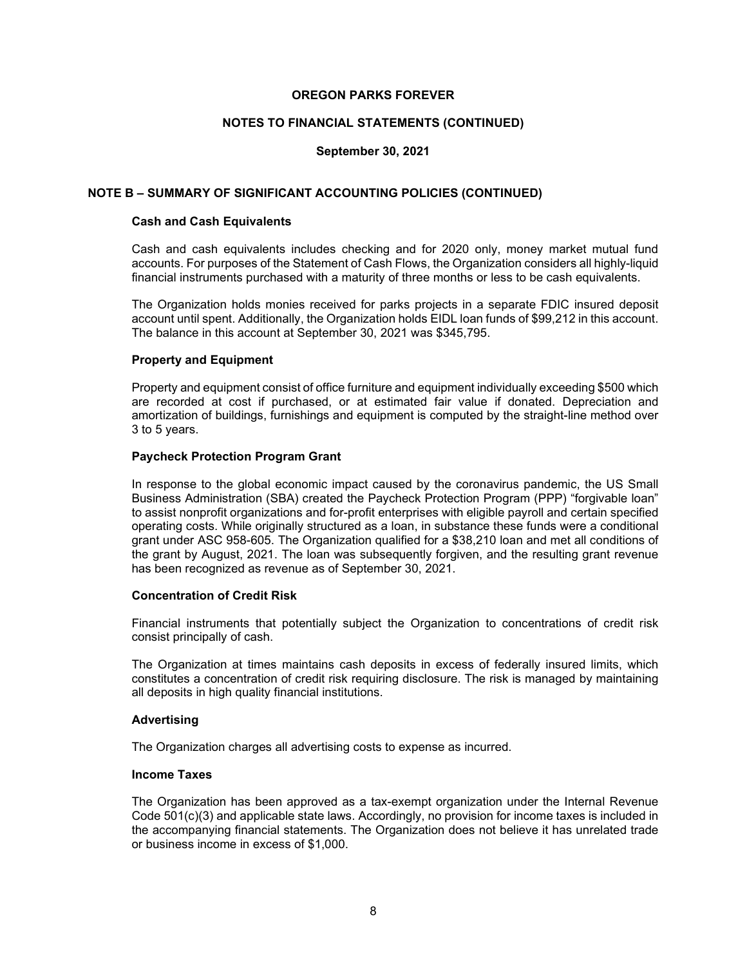#### **NOTES TO FINANCIAL STATEMENTS (CONTINUED)**

#### **September 30, 2021**

#### **NOTE B – SUMMARY OF SIGNIFICANT ACCOUNTING POLICIES (CONTINUED)**

#### **Cash and Cash Equivalents**

Cash and cash equivalents includes checking and for 2020 only, money market mutual fund accounts. For purposes of the Statement of Cash Flows, the Organization considers all highly-liquid financial instruments purchased with a maturity of three months or less to be cash equivalents.

The Organization holds monies received for parks projects in a separate FDIC insured deposit account until spent. Additionally, the Organization holds EIDL loan funds of \$99,212 in this account. The balance in this account at September 30, 2021 was \$345,795.

#### **Property and Equipment**

Property and equipment consist of office furniture and equipment individually exceeding \$500 which are recorded at cost if purchased, or at estimated fair value if donated. Depreciation and amortization of buildings, furnishings and equipment is computed by the straight-line method over 3 to 5 years.

#### **Paycheck Protection Program Grant**

In response to the global economic impact caused by the coronavirus pandemic, the US Small Business Administration (SBA) created the Paycheck Protection Program (PPP) "forgivable loan" to assist nonprofit organizations and for-profit enterprises with eligible payroll and certain specified operating costs. While originally structured as a loan, in substance these funds were a conditional grant under ASC 958-605. The Organization qualified for a \$38,210 loan and met all conditions of the grant by August, 2021. The loan was subsequently forgiven, and the resulting grant revenue has been recognized as revenue as of September 30, 2021.

#### **Concentration of Credit Risk**

Financial instruments that potentially subject the Organization to concentrations of credit risk consist principally of cash.

The Organization at times maintains cash deposits in excess of federally insured limits, which constitutes a concentration of credit risk requiring disclosure. The risk is managed by maintaining all deposits in high quality financial institutions.

#### **Advertising**

The Organization charges all advertising costs to expense as incurred.

#### **Income Taxes**

The Organization has been approved as a tax-exempt organization under the Internal Revenue Code 501(c)(3) and applicable state laws. Accordingly, no provision for income taxes is included in the accompanying financial statements. The Organization does not believe it has unrelated trade or business income in excess of \$1,000.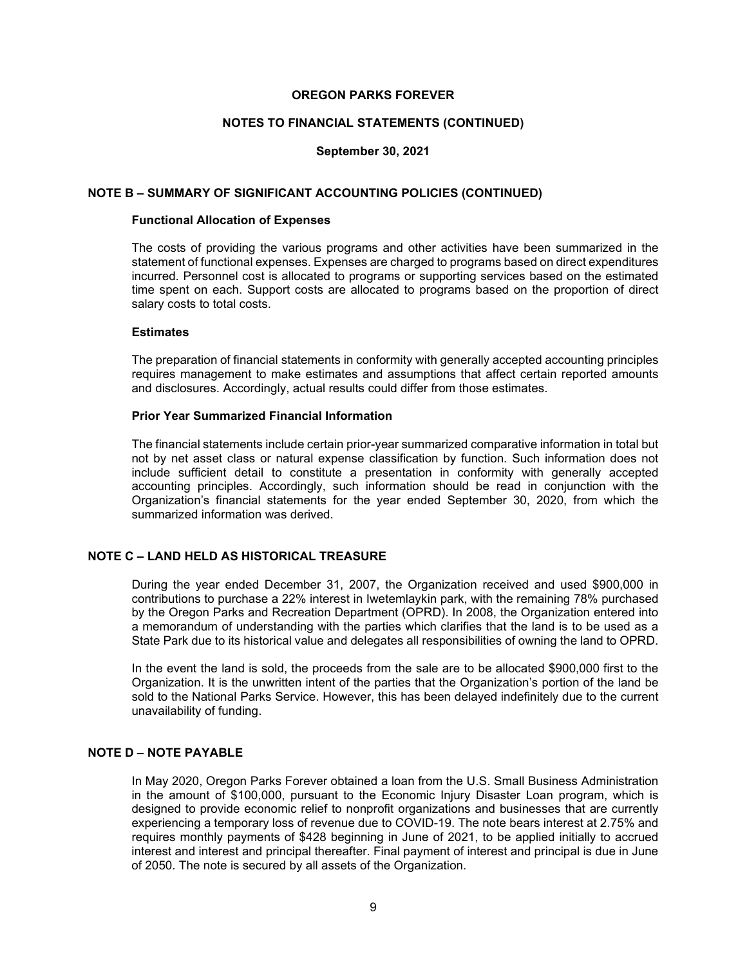#### **NOTES TO FINANCIAL STATEMENTS (CONTINUED)**

#### **September 30, 2021**

#### **NOTE B – SUMMARY OF SIGNIFICANT ACCOUNTING POLICIES (CONTINUED)**

#### **Functional Allocation of Expenses**

The costs of providing the various programs and other activities have been summarized in the statement of functional expenses. Expenses are charged to programs based on direct expenditures incurred. Personnel cost is allocated to programs or supporting services based on the estimated time spent on each. Support costs are allocated to programs based on the proportion of direct salary costs to total costs.

#### **Estimates**

The preparation of financial statements in conformity with generally accepted accounting principles requires management to make estimates and assumptions that affect certain reported amounts and disclosures. Accordingly, actual results could differ from those estimates.

#### **Prior Year Summarized Financial Information**

The financial statements include certain prior-year summarized comparative information in total but not by net asset class or natural expense classification by function. Such information does not include sufficient detail to constitute a presentation in conformity with generally accepted accounting principles. Accordingly, such information should be read in conjunction with the Organization's financial statements for the year ended September 30, 2020, from which the summarized information was derived.

## **NOTE C – LAND HELD AS HISTORICAL TREASURE**

During the year ended December 31, 2007, the Organization received and used \$900,000 in contributions to purchase a 22% interest in Iwetemlaykin park, with the remaining 78% purchased by the Oregon Parks and Recreation Department (OPRD). In 2008, the Organization entered into a memorandum of understanding with the parties which clarifies that the land is to be used as a State Park due to its historical value and delegates all responsibilities of owning the land to OPRD.

In the event the land is sold, the proceeds from the sale are to be allocated \$900,000 first to the Organization. It is the unwritten intent of the parties that the Organization's portion of the land be sold to the National Parks Service. However, this has been delayed indefinitely due to the current unavailability of funding.

#### **NOTE D – NOTE PAYABLE**

In May 2020, Oregon Parks Forever obtained a loan from the U.S. Small Business Administration in the amount of \$100,000, pursuant to the Economic Injury Disaster Loan program, which is designed to provide economic relief to nonprofit organizations and businesses that are currently experiencing a temporary loss of revenue due to COVID-19. The note bears interest at 2.75% and requires monthly payments of \$428 beginning in June of 2021, to be applied initially to accrued interest and interest and principal thereafter. Final payment of interest and principal is due in June of 2050. The note is secured by all assets of the Organization.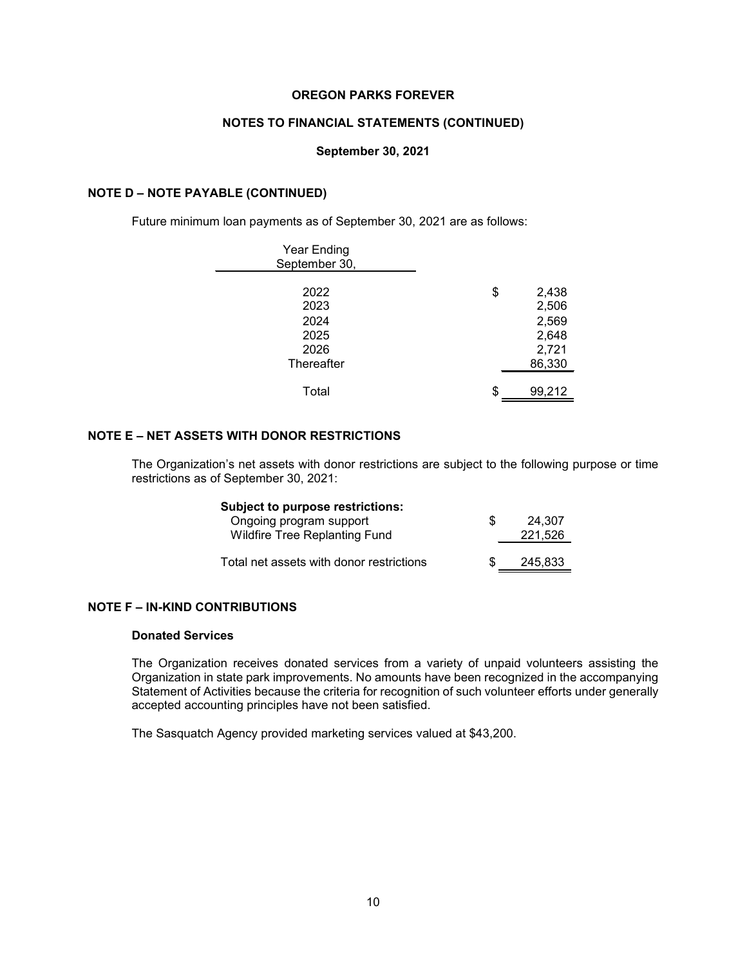#### **NOTES TO FINANCIAL STATEMENTS (CONTINUED)**

#### **September 30, 2021**

#### **NOTE D – NOTE PAYABLE (CONTINUED)**

Future minimum loan payments as of September 30, 2021 are as follows:

| <b>Year Ending</b><br>September 30, |                      |
|-------------------------------------|----------------------|
| 2022<br>2023                        | \$<br>2,438<br>2,506 |
| 2024                                | 2,569                |
| 2025                                | 2,648                |
| 2026                                | 2,721                |
| Thereafter                          | 86,330               |
| Total                               | \$<br>99,212         |

# **NOTE E – NET ASSETS WITH DONOR RESTRICTIONS**

The Organization's net assets with donor restrictions are subject to the following purpose or time restrictions as of September 30, 2021:

| Subject to purpose restrictions:         |     |         |
|------------------------------------------|-----|---------|
| Ongoing program support                  | \$. | 24.307  |
| <b>Wildfire Tree Replanting Fund</b>     |     | 221,526 |
|                                          |     |         |
| Total net assets with donor restrictions |     | 245.833 |

#### **NOTE F – IN-KIND CONTRIBUTIONS**

#### **Donated Services**

The Organization receives donated services from a variety of unpaid volunteers assisting the Organization in state park improvements. No amounts have been recognized in the accompanying Statement of Activities because the criteria for recognition of such volunteer efforts under generally accepted accounting principles have not been satisfied.

The Sasquatch Agency provided marketing services valued at \$43,200.